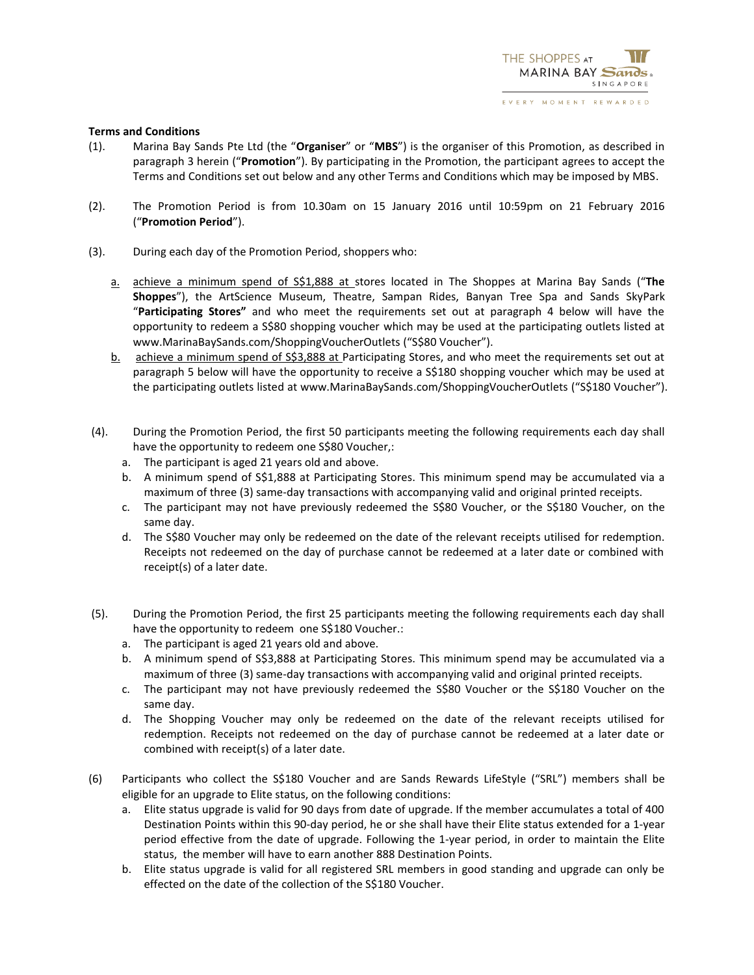EVERY MOMENT REWARDED

## **Terms and Conditions**

- (1). Marina Bay Sands Pte Ltd (the "**Organiser**" or "**MBS**") is the organiser of this Promotion, as described in paragraph 3 herein ("**Promotion**"). By participating in the Promotion, the participant agrees to accept the Terms and Conditions set out below and any other Terms and Conditions which may be imposed by MBS.
- (2). The Promotion Period is from 10.30am on 15 January 2016 until 10:59pm on 21 February 2016 ("**Promotion Period**").
- (3). During each day of the Promotion Period, shoppers who:
	- a. achieve a minimum spend of S\$1,888 at stores located in The Shoppes at Marina Bay Sands ("**The Shoppes**"), the ArtScience Museum, Theatre, Sampan Rides, Banyan Tree Spa and Sands SkyPark "**Participating Stores"** and who meet the requirements set out at paragraph 4 below will have the opportunity to redeem a S\$80 shopping voucher which may be used at the participating outlets listed at www.MarinaBaySands.com/ShoppingVoucherOutlets ("S\$80 Voucher").
	- b. achieve a minimum spend of S\$3,888 at Participating Stores, and who meet the requirements set out at paragraph 5 below will have the opportunity to receive a S\$180 shopping voucher which may be used at the participating outlets listed at www.MarinaBaySands.com/ShoppingVoucherOutlets ("S\$180 Voucher").
- (4). During the Promotion Period, the first 50 participants meeting the following requirements each day shall have the opportunity to redeem one S\$80 Voucher,:
	- a. The participant is aged 21 years old and above.
	- b. A minimum spend of S\$1,888 at Participating Stores. This minimum spend may be accumulated via a maximum of three (3) same-day transactions with accompanying valid and original printed receipts.
	- c. The participant may not have previously redeemed the S\$80 Voucher, or the S\$180 Voucher, on the same day.
	- d. The S\$80 Voucher may only be redeemed on the date of the relevant receipts utilised for redemption. Receipts not redeemed on the day of purchase cannot be redeemed at a later date or combined with receipt(s) of a later date.
- (5). During the Promotion Period, the first 25 participants meeting the following requirements each day shall have the opportunity to redeem one S\$180 Voucher.:
	- a. The participant is aged 21 years old and above.
	- b. A minimum spend of S\$3,888 at Participating Stores. This minimum spend may be accumulated via a maximum of three (3) same-day transactions with accompanying valid and original printed receipts.
	- c. The participant may not have previously redeemed the S\$80 Voucher or the S\$180 Voucher on the same day.
	- d. The Shopping Voucher may only be redeemed on the date of the relevant receipts utilised for redemption. Receipts not redeemed on the day of purchase cannot be redeemed at a later date or combined with receipt(s) of a later date.
- (6) Participants who collect the S\$180 Voucher and are Sands Rewards LifeStyle ("SRL") members shall be eligible for an upgrade to Elite status, on the following conditions:
	- a. Elite status upgrade is valid for 90 days from date of upgrade. If the member accumulates a total of 400 Destination Points within this 90-day period, he or she shall have their Elite status extended for a 1-year period effective from the date of upgrade. Following the 1-year period, in order to maintain the Elite status, the member will have to earn another 888 Destination Points.
	- b. Elite status upgrade is valid for all registered SRL members in good standing and upgrade can only be effected on the date of the collection of the S\$180 Voucher.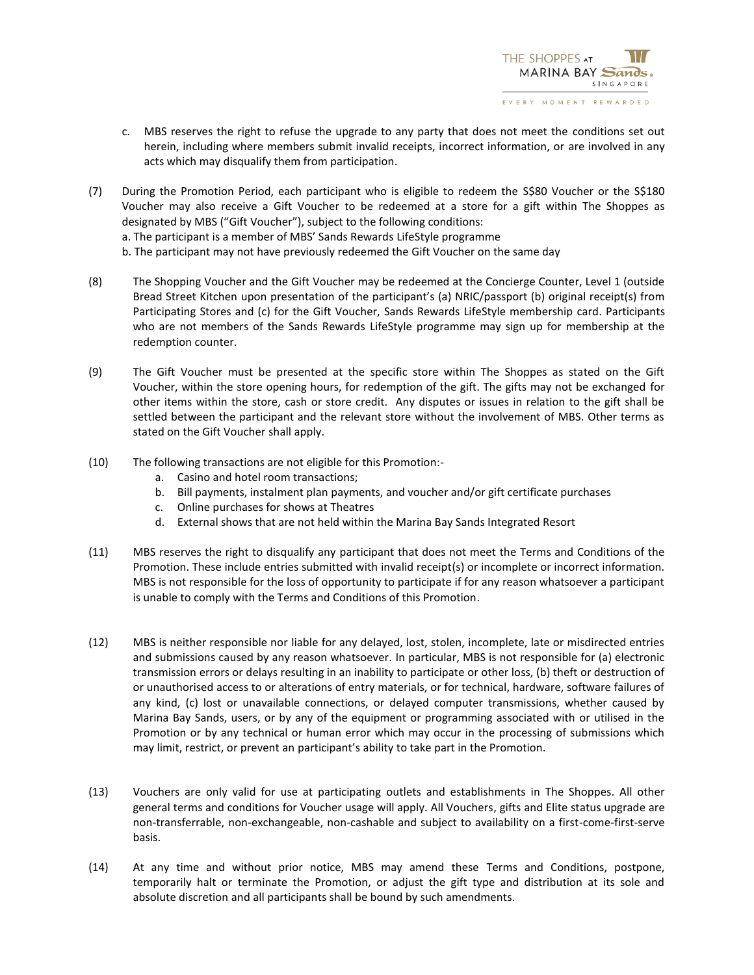- c. MBS reserves the right to refuse the upgrade to any party that does not meet the conditions set out herein, including where members submit invalid receipts, incorrect information, or are involved in any acts which may disqualify them from participation.
- (7) During the Promotion Period, each participant who is eligible to redeem the S\$80 Voucher or the S\$180 Voucher may also receive a Gift Voucher to be redeemed at a store for a gift within The Shoppes as designated by MBS ("Gift Voucher"), subject to the following conditions:
	- a. The participant is a member of MBS' Sands Rewards LifeStyle programme
	- b. The participant may not have previously redeemed the Gift Voucher on the same day
- (8) The Shopping Voucher and the Gift Voucher may be redeemed at the Concierge Counter, Level 1 (outside Bread Street Kitchen upon presentation of the participant's (a) NRIC/passport (b) original receipt(s) from Participating Stores and (c) for the Gift Voucher, Sands Rewards LifeStyle membership card. Participants who are not members of the Sands Rewards LifeStyle programme may sign up for membership at the redemption counter.
- (9) The Gift Voucher must be presented at the specific store within The Shoppes as stated on the Gift Voucher, within the store opening hours, for redemption of the gift. The gifts may not be exchanged for other items within the store, cash or store credit. Any disputes or issues in relation to the gift shall be settled between the participant and the relevant store without the involvement of MBS. Other terms as stated on the Gift Voucher shall apply.
- (10) The following transactions are not eligible for this Promotion:
	- a. Casino and hotel room transactions;
	- b. Bill payments, instalment plan payments, and voucher and/or gift certificate purchases
	- c. Online purchases for shows at Theatres
	- d. External shows that are not held within the Marina Bay Sands Integrated Resort
- (11) MBS reserves the right to disqualify any participant that does not meet the Terms and Conditions of the Promotion. These include entries submitted with invalid receipt(s) or incomplete or incorrect information. MBS is not responsible for the loss of opportunity to participate if for any reason whatsoever a participant is unable to comply with the Terms and Conditions of this Promotion.
- (12) MBS is neither responsible nor liable for any delayed, lost, stolen, incomplete, late or misdirected entries and submissions caused by any reason whatsoever. In particular, MBS is not responsible for (a) electronic transmission errors or delays resulting in an inability to participate or other loss, (b) theft or destruction of or unauthorised access to or alterations of entry materials, or for technical, hardware, software failures of any kind, (c) lost or unavailable connections, or delayed computer transmissions, whether caused by Marina Bay Sands, users, or by any of the equipment or programming associated with or utilised in the Promotion or by any technical or human error which may occur in the processing of submissions which may limit, restrict, or prevent an participant's ability to take part in the Promotion.
- (13) Vouchers are only valid for use at participating outlets and establishments in The Shoppes. All other general terms and conditions for Voucher usage will apply. All Vouchers, gifts and Elite status upgrade are non-transferrable, non-exchangeable, non-cashable and subject to availability on a first-come-first-serve basis.
- (14) At any time and without prior notice, MBS may amend these Terms and Conditions, postpone, temporarily halt or terminate the Promotion, or adjust the gift type and distribution at its sole and absolute discretion and all participants shall be bound by such amendments.